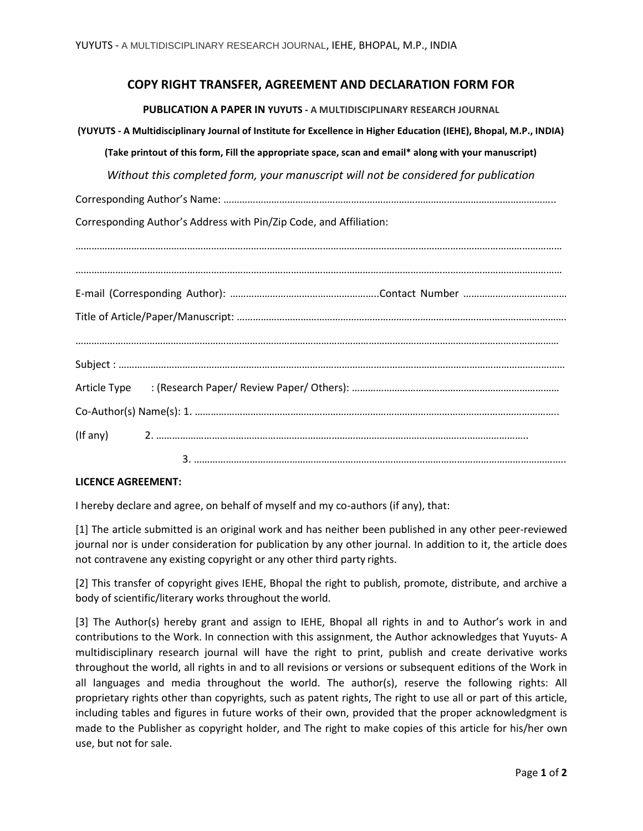## **COPY RIGHT TRANSFER, AGREEMENT AND DECLARATION FORM FOR**

**PUBLICATION A PAPER IN YUYUTS - A MULTIDISCIPLINARY RESEARCH JOURNAL**

**(YUYUTS - A Multidisciplinary Journal of Institute for Excellence in Higher Education (IEHE), Bhopal, M.P., INDIA)** 

**(Take printout of this form, Fill the appropriate space, scan and email\* along with your manuscript)** 

*Without this completed form, your manuscript will not be considered for publication*

Corresponding Author's Name: ……………………………………………………………………………………………………………..

Corresponding Author's Address with Pin/Zip Code, and Affiliation:

| $($ If any $)$ 2. $\ldots$ $\ldots$ $\ldots$ $\ldots$ $\ldots$ $\ldots$ $\ldots$ $\ldots$ $\ldots$ $\ldots$ $\ldots$ $\ldots$ $\ldots$ $\ldots$ $\ldots$ $\ldots$ $\ldots$ $\ldots$ |
|-------------------------------------------------------------------------------------------------------------------------------------------------------------------------------------|
|                                                                                                                                                                                     |

## **LICENCE AGREEMENT:**

I hereby declare and agree, on behalf of myself and my co-authors (if any), that:

[1] The article submitted is an original work and has neither been published in any other peer-reviewed journal nor is under consideration for publication by any other journal. In addition to it, the article does not contravene any existing copyright or any other third party rights.

[2] This transfer of copyright gives IEHE, Bhopal the right to publish, promote, distribute, and archive a body of scientific/literary works throughout the world.

[3] The Author(s) hereby grant and assign to IEHE, Bhopal all rights in and to Author's work in and contributions to the Work. In connection with this assignment, the Author acknowledges that Yuyuts- A multidisciplinary research journal will have the right to print, publish and create derivative works throughout the world, all rights in and to all revisions or versions or subsequent editions of the Work in all languages and media throughout the world. The author(s), reserve the following rights: All proprietary rights other than copyrights, such as patent rights, The right to use all or part of this article, including tables and figures in future works of their own, provided that the proper acknowledgment is made to the Publisher as copyright holder, and The right to make copies of this article for his/her own use, but not for sale.